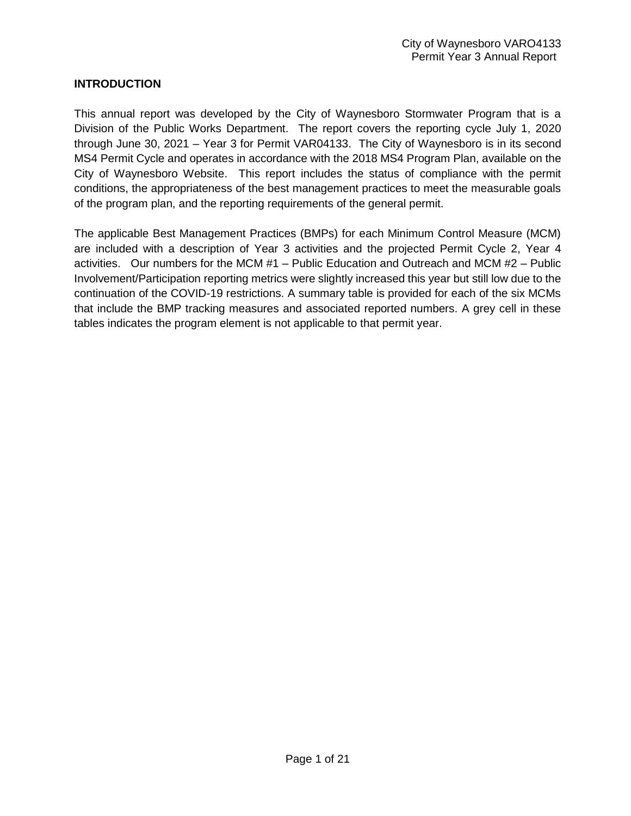### **INTRODUCTION**

This annual report was developed by the City of Waynesboro Stormwater Program that is a Division of the Public Works Department. The report covers the reporting cycle July 1, 2020 through June 30, 2021 – Year 3 for Permit VAR04133. The City of Waynesboro is in its second MS4 Permit Cycle and operates in accordance with the 2018 MS4 Program Plan, available on the City of Waynesboro Website. This report includes the status of compliance with the permit conditions, the appropriateness of the best management practices to meet the measurable goals of the program plan, and the reporting requirements of the general permit.

The applicable Best Management Practices (BMPs) for each Minimum Control Measure (MCM) are included with a description of Year 3 activities and the projected Permit Cycle 2, Year 4 activities. Our numbers for the MCM #1 – Public Education and Outreach and MCM #2 – Public Involvement/Participation reporting metrics were slightly increased this year but still low due to the continuation of the COVID-19 restrictions. A summary table is provided for each of the six MCMs that include the BMP tracking measures and associated reported numbers. A grey cell in these tables indicates the program element is not applicable to that permit year.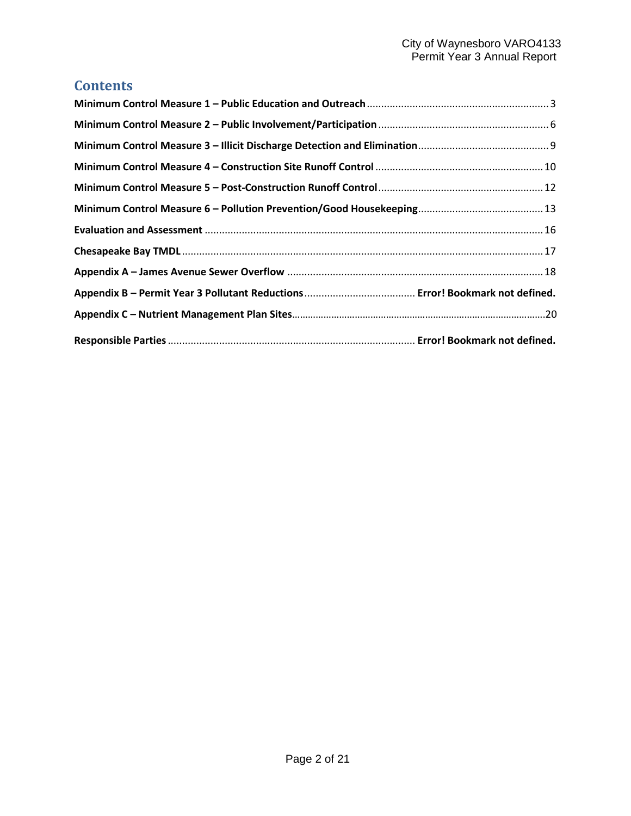# **Contents**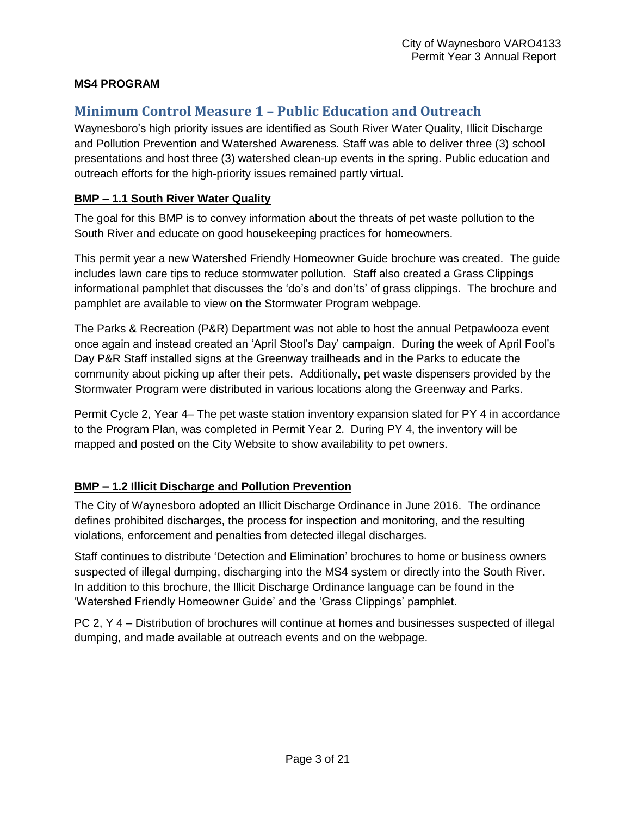### **MS4 PROGRAM**

# <span id="page-2-0"></span>**Minimum Control Measure 1 – Public Education and Outreach**

Waynesboro's high priority issues are identified as South River Water Quality, Illicit Discharge and Pollution Prevention and Watershed Awareness. Staff was able to deliver three (3) school presentations and host three (3) watershed clean-up events in the spring. Public education and outreach efforts for the high-priority issues remained partly virtual.

### **BMP – 1.1 South River Water Quality**

The goal for this BMP is to convey information about the threats of pet waste pollution to the South River and educate on good housekeeping practices for homeowners.

This permit year a new Watershed Friendly Homeowner Guide brochure was created. The guide includes lawn care tips to reduce stormwater pollution. Staff also created a Grass Clippings informational pamphlet that discusses the 'do's and don'ts' of grass clippings. The brochure and pamphlet are available to view on the Stormwater Program webpage.

The Parks & Recreation (P&R) Department was not able to host the annual Petpawlooza event once again and instead created an 'April Stool's Day' campaign. During the week of April Fool's Day P&R Staff installed signs at the Greenway trailheads and in the Parks to educate the community about picking up after their pets. Additionally, pet waste dispensers provided by the Stormwater Program were distributed in various locations along the Greenway and Parks.

Permit Cycle 2, Year 4– The pet waste station inventory expansion slated for PY 4 in accordance to the Program Plan, was completed in Permit Year 2. During PY 4, the inventory will be mapped and posted on the City Website to show availability to pet owners.

# **BMP – 1.2 Illicit Discharge and Pollution Prevention**

The City of Waynesboro adopted an Illicit Discharge Ordinance in June 2016. The ordinance defines prohibited discharges, the process for inspection and monitoring, and the resulting violations, enforcement and penalties from detected illegal discharges.

Staff continues to distribute 'Detection and Elimination' brochures to home or business owners suspected of illegal dumping, discharging into the MS4 system or directly into the South River. In addition to this brochure, the Illicit Discharge Ordinance language can be found in the 'Watershed Friendly Homeowner Guide' and the 'Grass Clippings' pamphlet.

PC 2, Y 4 – Distribution of brochures will continue at homes and businesses suspected of illegal dumping, and made available at outreach events and on the webpage.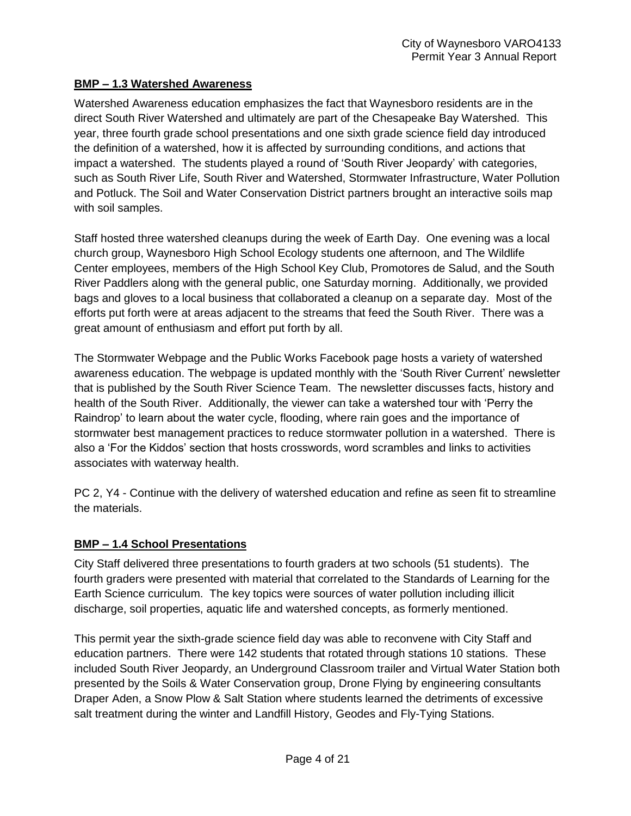### **BMP – 1.3 Watershed Awareness**

Watershed Awareness education emphasizes the fact that Waynesboro residents are in the direct South River Watershed and ultimately are part of the Chesapeake Bay Watershed. This year, three fourth grade school presentations and one sixth grade science field day introduced the definition of a watershed, how it is affected by surrounding conditions, and actions that impact a watershed. The students played a round of 'South River Jeopardy' with categories, such as South River Life, South River and Watershed, Stormwater Infrastructure, Water Pollution and Potluck. The Soil and Water Conservation District partners brought an interactive soils map with soil samples.

Staff hosted three watershed cleanups during the week of Earth Day. One evening was a local church group, Waynesboro High School Ecology students one afternoon, and The Wildlife Center employees, members of the High School Key Club, Promotores de Salud, and the South River Paddlers along with the general public, one Saturday morning. Additionally, we provided bags and gloves to a local business that collaborated a cleanup on a separate day. Most of the efforts put forth were at areas adjacent to the streams that feed the South River. There was a great amount of enthusiasm and effort put forth by all.

The Stormwater Webpage and the Public Works Facebook page hosts a variety of watershed awareness education. The webpage is updated monthly with the 'South River Current' newsletter that is published by the South River Science Team. The newsletter discusses facts, history and health of the South River. Additionally, the viewer can take a watershed tour with 'Perry the Raindrop' to learn about the water cycle, flooding, where rain goes and the importance of stormwater best management practices to reduce stormwater pollution in a watershed. There is also a 'For the Kiddos' section that hosts crosswords, word scrambles and links to activities associates with waterway health.

PC 2, Y4 - Continue with the delivery of watershed education and refine as seen fit to streamline the materials.

### **BMP – 1.4 School Presentations**

City Staff delivered three presentations to fourth graders at two schools (51 students). The fourth graders were presented with material that correlated to the Standards of Learning for the Earth Science curriculum. The key topics were sources of water pollution including illicit discharge, soil properties, aquatic life and watershed concepts, as formerly mentioned.

This permit year the sixth-grade science field day was able to reconvene with City Staff and education partners. There were 142 students that rotated through stations 10 stations. These included South River Jeopardy, an Underground Classroom trailer and Virtual Water Station both presented by the Soils & Water Conservation group, Drone Flying by engineering consultants Draper Aden, a Snow Plow & Salt Station where students learned the detriments of excessive salt treatment during the winter and Landfill History, Geodes and Fly-Tying Stations.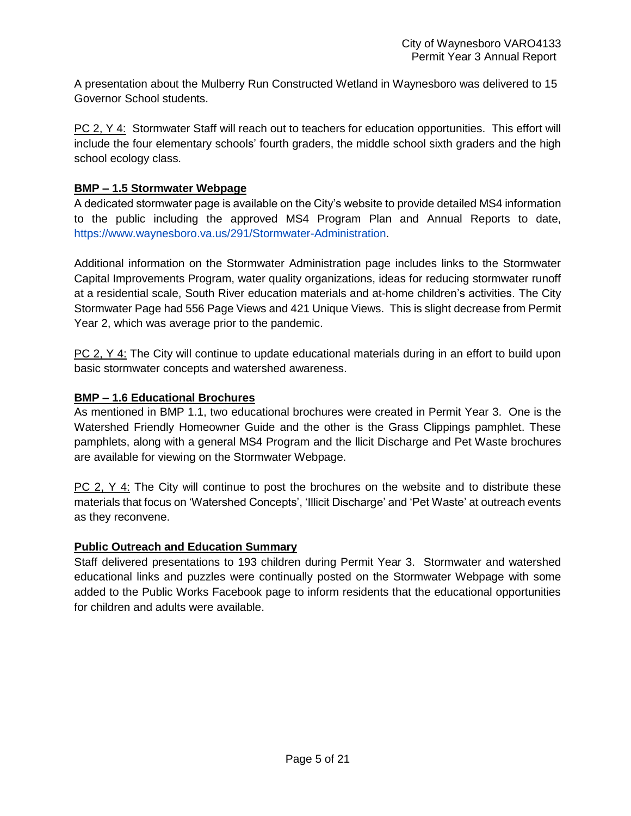A presentation about the Mulberry Run Constructed Wetland in Waynesboro was delivered to 15 Governor School students.

PC 2, Y 4: Stormwater Staff will reach out to teachers for education opportunities. This effort will include the four elementary schools' fourth graders, the middle school sixth graders and the high school ecology class.

### **BMP – 1.5 Stormwater Webpage**

A dedicated stormwater page is available on the City's website to provide detailed MS4 information to the public including the approved MS4 Program Plan and Annual Reports to date, [https://www.waynesboro.va.us/291/Stormwater-Administration.](https://www.waynesboro.va.us/291/Stormwater-Administration)

Additional information on the Stormwater Administration page includes links to the Stormwater Capital Improvements Program, water quality organizations, ideas for reducing stormwater runoff at a residential scale, South River education materials and at-home children's activities. The City Stormwater Page had 556 Page Views and 421 Unique Views. This is slight decrease from Permit Year 2, which was average prior to the pandemic.

PC 2, Y 4: The City will continue to update educational materials during in an effort to build upon basic stormwater concepts and watershed awareness.

### **BMP – 1.6 Educational Brochures**

As mentioned in BMP 1.1, two educational brochures were created in Permit Year 3. One is the Watershed Friendly Homeowner Guide and the other is the Grass Clippings pamphlet. These pamphlets, along with a general MS4 Program and the llicit Discharge and Pet Waste brochures are available for viewing on the Stormwater Webpage.

PC 2, Y 4: The City will continue to post the brochures on the website and to distribute these materials that focus on 'Watershed Concepts', 'Illicit Discharge' and 'Pet Waste' at outreach events as they reconvene.

# **Public Outreach and Education Summary**

Staff delivered presentations to 193 children during Permit Year 3. Stormwater and watershed educational links and puzzles were continually posted on the Stormwater Webpage with some added to the Public Works Facebook page to inform residents that the educational opportunities for children and adults were available.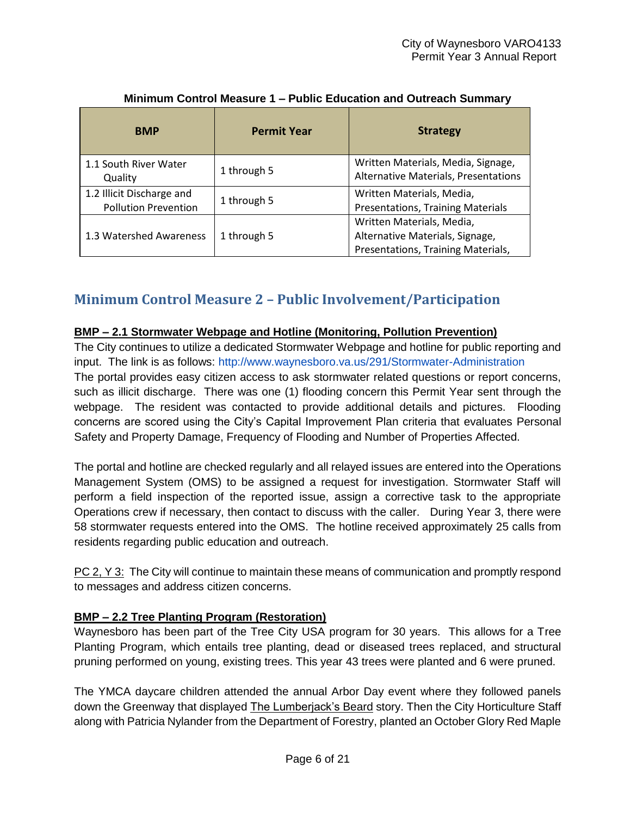| <b>BMP</b>                                               | <b>Permit Year</b>                                                                                                | <b>Strategy</b>                                                            |
|----------------------------------------------------------|-------------------------------------------------------------------------------------------------------------------|----------------------------------------------------------------------------|
| 1.1 South River Water<br>Quality                         | 1 through 5                                                                                                       | Written Materials, Media, Signage,<br>Alternative Materials, Presentations |
| 1.2 Illicit Discharge and<br><b>Pollution Prevention</b> | 1 through 5                                                                                                       | Written Materials, Media,<br><b>Presentations, Training Materials</b>      |
| 1.3 Watershed Awareness                                  | Written Materials, Media,<br>Alternative Materials, Signage,<br>1 through 5<br>Presentations, Training Materials, |                                                                            |

# **Minimum Control Measure 1 – Public Education and Outreach Summary**

# <span id="page-5-0"></span>**Minimum Control Measure 2 – Public Involvement/Participation**

### **BMP – 2.1 Stormwater Webpage and Hotline (Monitoring, Pollution Prevention)**

The City continues to utilize a dedicated Stormwater Webpage and hotline for public reporting and input. The link is as follows:<http://www.waynesboro.va.us/291/Stormwater-Administration> The portal provides easy citizen access to ask stormwater related questions or report concerns, such as illicit discharge. There was one (1) flooding concern this Permit Year sent through the webpage. The resident was contacted to provide additional details and pictures. Flooding concerns are scored using the City's Capital Improvement Plan criteria that evaluates Personal Safety and Property Damage, Frequency of Flooding and Number of Properties Affected.

The portal and hotline are checked regularly and all relayed issues are entered into the Operations Management System (OMS) to be assigned a request for investigation. Stormwater Staff will perform a field inspection of the reported issue, assign a corrective task to the appropriate Operations crew if necessary, then contact to discuss with the caller. During Year 3, there were 58 stormwater requests entered into the OMS. The hotline received approximately 25 calls from residents regarding public education and outreach.

PC 2, Y 3: The City will continue to maintain these means of communication and promptly respond to messages and address citizen concerns.

# **BMP – 2.2 Tree Planting Program (Restoration)**

Waynesboro has been part of the Tree City USA program for 30 years. This allows for a Tree Planting Program, which entails tree planting, dead or diseased trees replaced, and structural pruning performed on young, existing trees. This year 43 trees were planted and 6 were pruned.

The YMCA daycare children attended the annual Arbor Day event where they followed panels down the Greenway that displayed The Lumberjack's Beard story. Then the City Horticulture Staff along with Patricia Nylander from the Department of Forestry, planted an October Glory Red Maple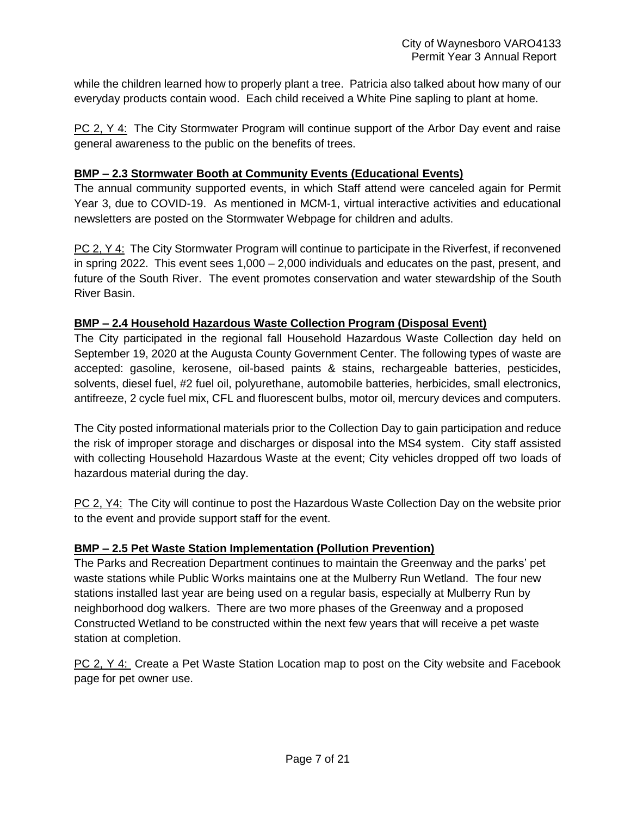while the children learned how to properly plant a tree. Patricia also talked about how many of our everyday products contain wood. Each child received a White Pine sapling to plant at home.

PC 2, Y 4: The City Stormwater Program will continue support of the Arbor Day event and raise general awareness to the public on the benefits of trees.

### **BMP – 2.3 Stormwater Booth at Community Events (Educational Events)**

The annual community supported events, in which Staff attend were canceled again for Permit Year 3, due to COVID-19. As mentioned in MCM-1, virtual interactive activities and educational newsletters are posted on the Stormwater Webpage for children and adults.

PC 2, Y 4: The City Stormwater Program will continue to participate in the Riverfest, if reconvened in spring 2022. This event sees 1,000 – 2,000 individuals and educates on the past, present, and future of the South River. The event promotes conservation and water stewardship of the South River Basin.

### **BMP – 2.4 Household Hazardous Waste Collection Program (Disposal Event)**

The City participated in the regional fall Household Hazardous Waste Collection day held on September 19, 2020 at the Augusta County Government Center. The following types of waste are accepted: gasoline, kerosene, oil-based paints & stains, rechargeable batteries, pesticides, solvents, diesel fuel, #2 fuel oil, polyurethane, automobile batteries, herbicides, small electronics, antifreeze, 2 cycle fuel mix, CFL and fluorescent bulbs, motor oil, mercury devices and computers.

The City posted informational materials prior to the Collection Day to gain participation and reduce the risk of improper storage and discharges or disposal into the MS4 system. City staff assisted with collecting Household Hazardous Waste at the event; City vehicles dropped off two loads of hazardous material during the day.

PC 2, Y4: The City will continue to post the Hazardous Waste Collection Day on the website prior to the event and provide support staff for the event.

# **BMP – 2.5 Pet Waste Station Implementation (Pollution Prevention)**

The Parks and Recreation Department continues to maintain the Greenway and the parks' pet waste stations while Public Works maintains one at the Mulberry Run Wetland. The four new stations installed last year are being used on a regular basis, especially at Mulberry Run by neighborhood dog walkers. There are two more phases of the Greenway and a proposed Constructed Wetland to be constructed within the next few years that will receive a pet waste station at completion.

PC 2, Y 4: Create a Pet Waste Station Location map to post on the City website and Facebook page for pet owner use.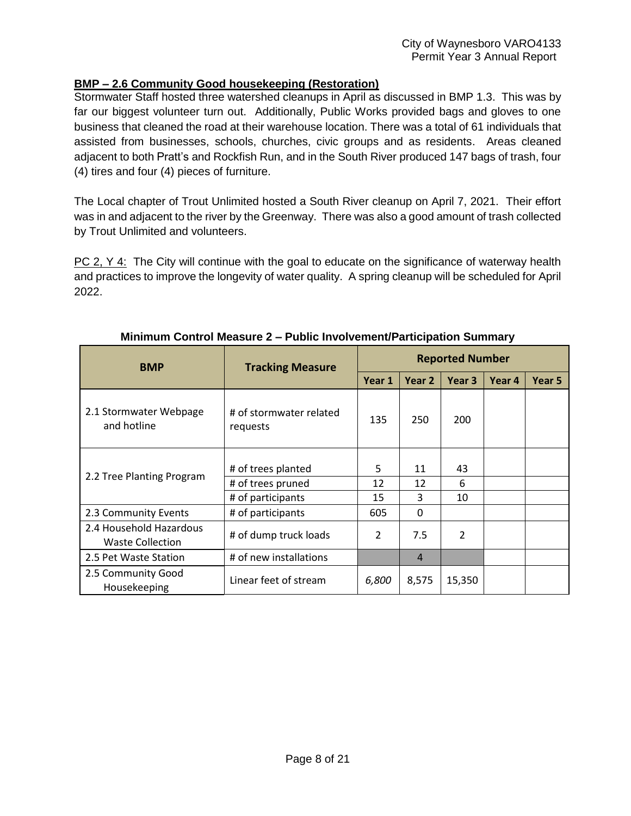### **BMP – 2.6 Community Good housekeeping (Restoration)**

Stormwater Staff hosted three watershed cleanups in April as discussed in BMP 1.3. This was by far our biggest volunteer turn out. Additionally, Public Works provided bags and gloves to one business that cleaned the road at their warehouse location. There was a total of 61 individuals that assisted from businesses, schools, churches, civic groups and as residents. Areas cleaned adjacent to both Pratt's and Rockfish Run, and in the South River produced 147 bags of trash, four (4) tires and four (4) pieces of furniture.

The Local chapter of Trout Unlimited hosted a South River cleanup on April 7, 2021. Their effort was in and adjacent to the river by the Greenway. There was also a good amount of trash collected by Trout Unlimited and volunteers.

PC 2, Y 4: The City will continue with the goal to educate on the significance of waterway health and practices to improve the longevity of water quality. A spring cleanup will be scheduled for April 2022.

<span id="page-7-0"></span>

| <b>BMP</b>                                         | <b>Tracking Measure</b>             |        | <b>Reported Number</b> |                |        |        |
|----------------------------------------------------|-------------------------------------|--------|------------------------|----------------|--------|--------|
|                                                    |                                     | Year 1 | Year 2                 | Year 3         | Year 4 | Year 5 |
| 2.1 Stormwater Webpage<br>and hotline              | # of stormwater related<br>requests | 135    | 250                    | 200            |        |        |
|                                                    | # of trees planted                  | 5      | 11                     | 43             |        |        |
| 2.2 Tree Planting Program                          | # of trees pruned                   | 12     | 12                     | 6              |        |        |
|                                                    | # of participants                   | 15     | 3                      | 10             |        |        |
| 2.3 Community Events                               | # of participants                   | 605    | 0                      |                |        |        |
| 2.4 Household Hazardous<br><b>Waste Collection</b> | # of dump truck loads               | 2      | 7.5                    | $\overline{2}$ |        |        |
| 2.5 Pet Waste Station                              | # of new installations              |        | $\overline{4}$         |                |        |        |
| 2.5 Community Good<br>Housekeeping                 | Linear feet of stream               | 6,800  | 8,575                  | 15,350         |        |        |

### **Minimum Control Measure 2 – Public Involvement/Participation Summary**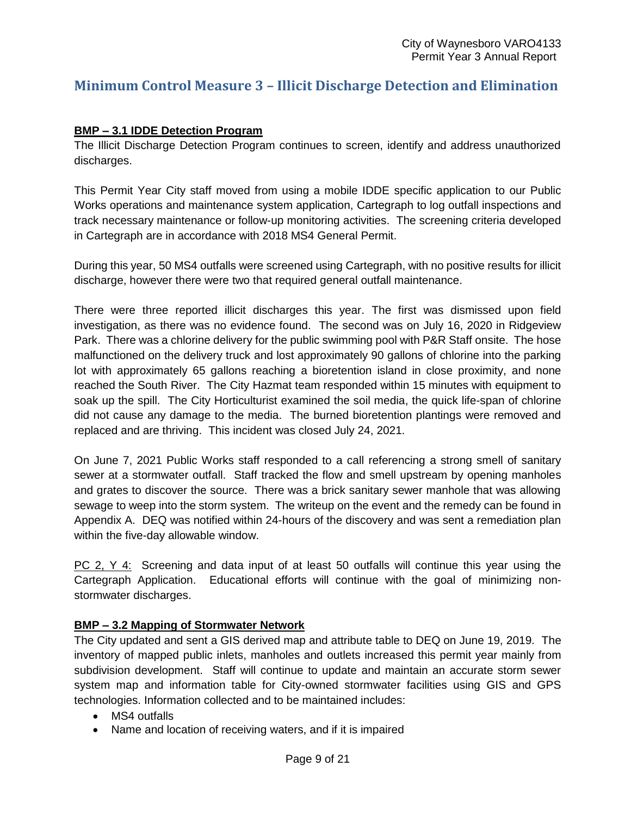# **Minimum Control Measure 3 – Illicit Discharge Detection and Elimination**

#### **BMP – 3.1 IDDE Detection Program**

The Illicit Discharge Detection Program continues to screen, identify and address unauthorized discharges.

This Permit Year City staff moved from using a mobile IDDE specific application to our Public Works operations and maintenance system application, Cartegraph to log outfall inspections and track necessary maintenance or follow-up monitoring activities. The screening criteria developed in Cartegraph are in accordance with 2018 MS4 General Permit.

During this year, 50 MS4 outfalls were screened using Cartegraph, with no positive results for illicit discharge, however there were two that required general outfall maintenance.

There were three reported illicit discharges this year. The first was dismissed upon field investigation, as there was no evidence found. The second was on July 16, 2020 in Ridgeview Park. There was a chlorine delivery for the public swimming pool with P&R Staff onsite. The hose malfunctioned on the delivery truck and lost approximately 90 gallons of chlorine into the parking lot with approximately 65 gallons reaching a bioretention island in close proximity, and none reached the South River. The City Hazmat team responded within 15 minutes with equipment to soak up the spill. The City Horticulturist examined the soil media, the quick life-span of chlorine did not cause any damage to the media. The burned bioretention plantings were removed and replaced and are thriving. This incident was closed July 24, 2021.

On June 7, 2021 Public Works staff responded to a call referencing a strong smell of sanitary sewer at a stormwater outfall. Staff tracked the flow and smell upstream by opening manholes and grates to discover the source. There was a brick sanitary sewer manhole that was allowing sewage to weep into the storm system. The writeup on the event and the remedy can be found in Appendix A. DEQ was notified within 24-hours of the discovery and was sent a remediation plan within the five-day allowable window.

PC 2, Y 4: Screening and data input of at least 50 outfalls will continue this year using the Cartegraph Application. Educational efforts will continue with the goal of minimizing nonstormwater discharges.

#### **BMP – 3.2 Mapping of Stormwater Network**

The City updated and sent a GIS derived map and attribute table to DEQ on June 19, 2019. The inventory of mapped public inlets, manholes and outlets increased this permit year mainly from subdivision development. Staff will continue to update and maintain an accurate storm sewer system map and information table for City-owned stormwater facilities using GIS and GPS technologies. Information collected and to be maintained includes:

- MS4 outfalls
- Name and location of receiving waters, and if it is impaired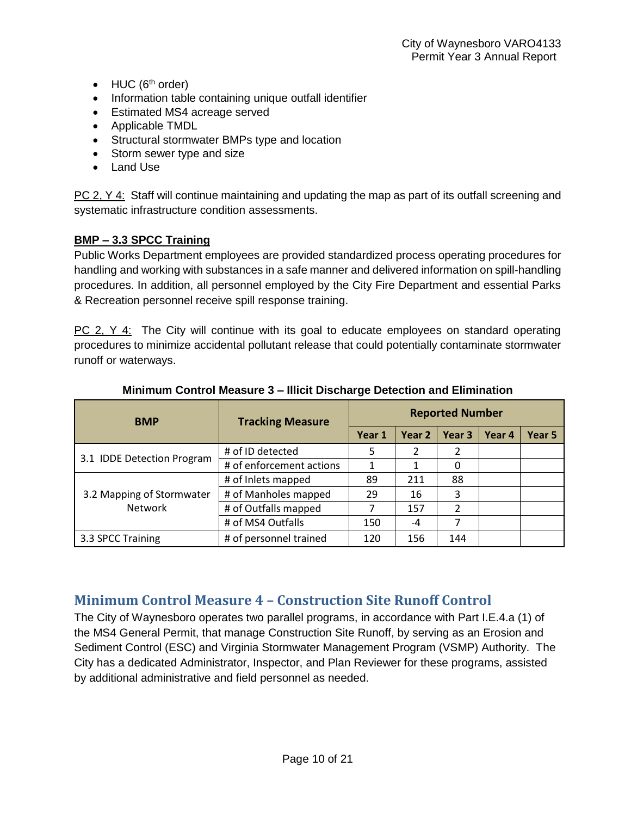- $\bullet$  HUC ( $6<sup>th</sup>$  order)
- Information table containing unique outfall identifier
- Estimated MS4 acreage served
- Applicable TMDL
- Structural stormwater BMPs type and location
- Storm sewer type and size
- Land Use

PC 2, Y 4: Staff will continue maintaining and updating the map as part of its outfall screening and systematic infrastructure condition assessments.

# **BMP – 3.3 SPCC Training**

Public Works Department employees are provided standardized process operating procedures for handling and working with substances in a safe manner and delivered information on spill-handling procedures. In addition, all personnel employed by the City Fire Department and essential Parks & Recreation personnel receive spill response training.

PC 2, Y 4: The City will continue with its goal to educate employees on standard operating procedures to minimize accidental pollutant release that could potentially contaminate stormwater runoff or waterways.

| <b>BMP</b>                 | <b>Tracking Measure</b>  |        |        | <b>Reported Number</b>   |        |        |
|----------------------------|--------------------------|--------|--------|--------------------------|--------|--------|
|                            |                          | Year 1 | Year 2 | Year 3                   | Year 4 | Year 5 |
|                            | # of ID detected         | 5      | 2      | 2                        |        |        |
| 3.1 IDDE Detection Program | # of enforcement actions |        | 1      | 0                        |        |        |
|                            | # of Inlets mapped       | 89     | 211    | 88                       |        |        |
| 3.2 Mapping of Stormwater  | # of Manholes mapped     | 29     | 16     | 3                        |        |        |
| <b>Network</b>             | # of Outfalls mapped     |        | 157    | $\overline{\phantom{a}}$ |        |        |
|                            | # of MS4 Outfalls        | 150    | -4     |                          |        |        |
| 3.3 SPCC Training          | # of personnel trained   | 120    | 156    | 144                      |        |        |

#### **Minimum Control Measure 3 – Illicit Discharge Detection and Elimination**

# <span id="page-9-0"></span>**Minimum Control Measure 4 – Construction Site Runoff Control**

The City of Waynesboro operates two parallel programs, in accordance with Part I.E.4.a (1) of the MS4 General Permit, that manage Construction Site Runoff, by serving as an Erosion and Sediment Control (ESC) and Virginia Stormwater Management Program (VSMP) Authority. The City has a dedicated Administrator, Inspector, and Plan Reviewer for these programs, assisted by additional administrative and field personnel as needed.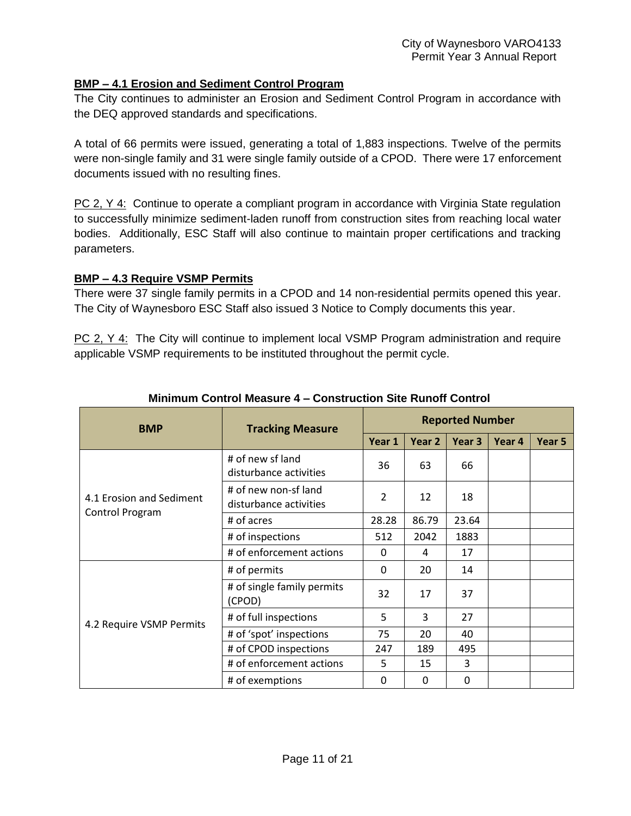### **BMP – 4.1 Erosion and Sediment Control Program**

The City continues to administer an Erosion and Sediment Control Program in accordance with the DEQ approved standards and specifications.

A total of 66 permits were issued, generating a total of 1,883 inspections. Twelve of the permits were non-single family and 31 were single family outside of a CPOD. There were 17 enforcement documents issued with no resulting fines.

PC 2, Y 4: Continue to operate a compliant program in accordance with Virginia State regulation to successfully minimize sediment-laden runoff from construction sites from reaching local water bodies. Additionally, ESC Staff will also continue to maintain proper certifications and tracking parameters.

#### **BMP – 4.3 Require VSMP Permits**

There were 37 single family permits in a CPOD and 14 non-residential permits opened this year. The City of Waynesboro ESC Staff also issued 3 Notice to Comply documents this year.

PC 2, Y 4: The City will continue to implement local VSMP Program administration and require applicable VSMP requirements to be instituted throughout the permit cycle.

<span id="page-10-0"></span>

|                          |                                                | <b>Reported Number</b> |        |        |        |        |
|--------------------------|------------------------------------------------|------------------------|--------|--------|--------|--------|
| <b>BMP</b>               | <b>Tracking Measure</b>                        | Year 1                 | Year 2 | Year 3 | Year 4 | Year 5 |
|                          | # of new sf land<br>disturbance activities     | 36                     | 63     | 66     |        |        |
| 4.1 Erosion and Sediment | # of new non-sf land<br>disturbance activities | $\overline{2}$         | 12     | 18     |        |        |
| Control Program          | # of acres                                     | 28.28                  | 86.79  | 23.64  |        |        |
|                          | # of inspections                               | 512                    | 2042   | 1883   |        |        |
|                          | # of enforcement actions                       | 0                      | 4      | 17     |        |        |
|                          | # of permits                                   | 0                      | 20     | 14     |        |        |
|                          | # of single family permits<br>(CPOD)           | 32                     | 17     | 37     |        |        |
| 4.2 Require VSMP Permits | # of full inspections                          | 5                      | 3      | 27     |        |        |
|                          | # of 'spot' inspections                        | 75                     | 20     | 40     |        |        |
|                          | # of CPOD inspections                          | 247                    | 189    | 495    |        |        |
|                          | # of enforcement actions                       | 5                      | 15     | 3      |        |        |
|                          | # of exemptions                                | 0                      | 0      | 0      |        |        |

### **Minimum Control Measure 4 – Construction Site Runoff Control**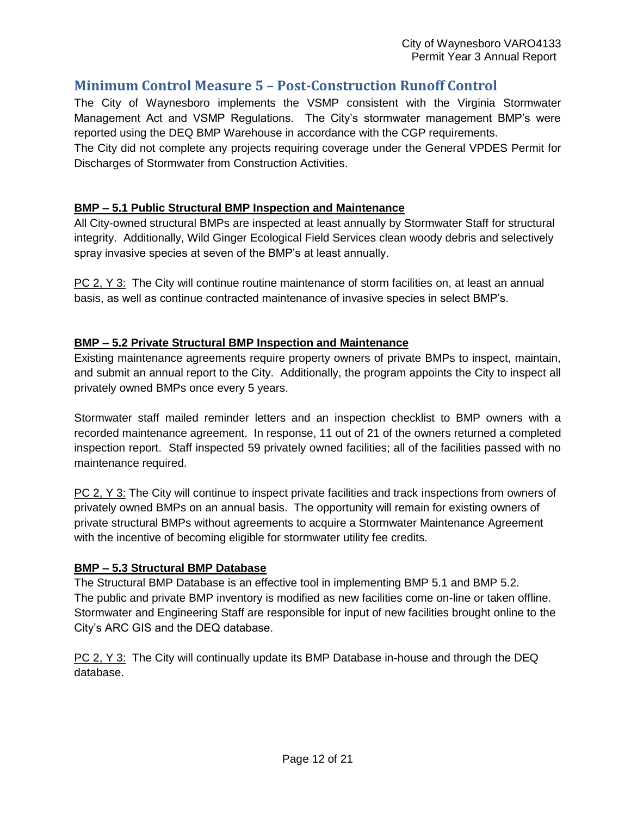# **Minimum Control Measure 5 – Post-Construction Runoff Control**

The City of Waynesboro implements the VSMP consistent with the Virginia Stormwater Management Act and VSMP Regulations. The City's stormwater management BMP's were reported using the DEQ BMP Warehouse in accordance with the CGP requirements.

The City did not complete any projects requiring coverage under the General VPDES Permit for Discharges of Stormwater from Construction Activities.

### **BMP – 5.1 Public Structural BMP Inspection and Maintenance**

All City-owned structural BMPs are inspected at least annually by Stormwater Staff for structural integrity. Additionally, Wild Ginger Ecological Field Services clean woody debris and selectively spray invasive species at seven of the BMP's at least annually.

PC 2, Y 3: The City will continue routine maintenance of storm facilities on, at least an annual basis, as well as continue contracted maintenance of invasive species in select BMP's.

### **BMP – 5.2 Private Structural BMP Inspection and Maintenance**

Existing maintenance agreements require property owners of private BMPs to inspect, maintain, and submit an annual report to the City. Additionally, the program appoints the City to inspect all privately owned BMPs once every 5 years.

Stormwater staff mailed reminder letters and an inspection checklist to BMP owners with a recorded maintenance agreement. In response, 11 out of 21 of the owners returned a completed inspection report. Staff inspected 59 privately owned facilities; all of the facilities passed with no maintenance required.

PC 2, Y 3: The City will continue to inspect private facilities and track inspections from owners of privately owned BMPs on an annual basis. The opportunity will remain for existing owners of private structural BMPs without agreements to acquire a Stormwater Maintenance Agreement with the incentive of becoming eligible for stormwater utility fee credits.

### **BMP – 5.3 Structural BMP Database**

The Structural BMP Database is an effective tool in implementing BMP 5.1 and BMP 5.2. The public and private BMP inventory is modified as new facilities come on-line or taken offline. Stormwater and Engineering Staff are responsible for input of new facilities brought online to the City's ARC GIS and the DEQ database.

PC 2, Y 3: The City will continually update its BMP Database in-house and through the DEQ database.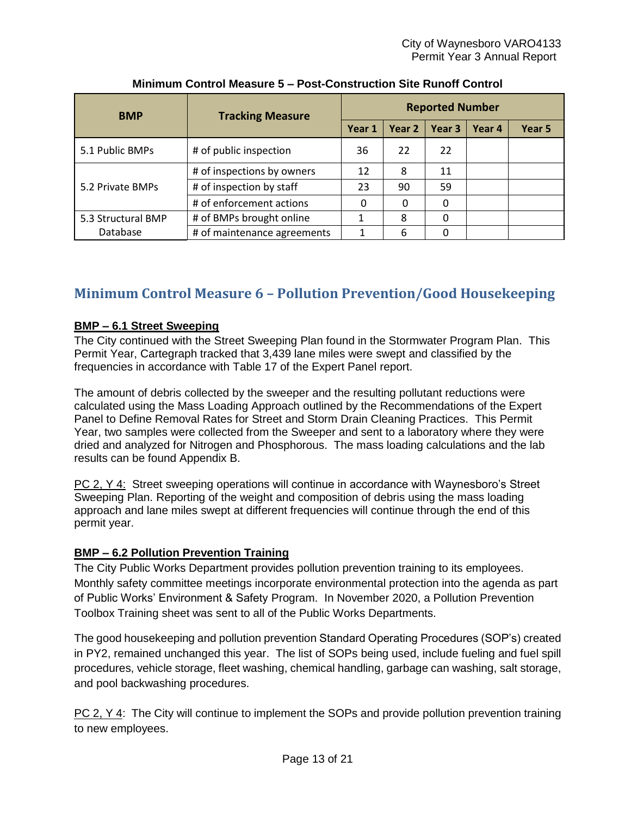| <b>BMP</b>         | <b>Tracking Measure</b>     |        |        | <b>Reported Number</b> |        |        |
|--------------------|-----------------------------|--------|--------|------------------------|--------|--------|
|                    |                             | Year 1 | Year 2 | Year 3                 | Year 4 | Year 5 |
| 5.1 Public BMPs    | # of public inspection      | 36     | 22     | 22                     |        |        |
|                    | # of inspections by owners  | 12     | 8      | 11                     |        |        |
| 5.2 Private BMPs   | # of inspection by staff    | 23     | 90     | 59                     |        |        |
|                    | # of enforcement actions    | 0      | 0      | 0                      |        |        |
| 5.3 Structural BMP | # of BMPs brought online    |        | 8      |                        |        |        |
| Database           | # of maintenance agreements |        | 6      |                        |        |        |

# **Minimum Control Measure 5 – Post-Construction Site Runoff Control**

# <span id="page-12-0"></span>**Minimum Control Measure 6 – Pollution Prevention/Good Housekeeping**

# **BMP – 6.1 Street Sweeping**

The City continued with the Street Sweeping Plan found in the Stormwater Program Plan. This Permit Year, Cartegraph tracked that 3,439 lane miles were swept and classified by the frequencies in accordance with Table 17 of the Expert Panel report.

The amount of debris collected by the sweeper and the resulting pollutant reductions were calculated using the Mass Loading Approach outlined by the Recommendations of the Expert Panel to Define Removal Rates for Street and Storm Drain Cleaning Practices. This Permit Year, two samples were collected from the Sweeper and sent to a laboratory where they were dried and analyzed for Nitrogen and Phosphorous. The mass loading calculations and the lab results can be found Appendix B.

PC 2, Y 4: Street sweeping operations will continue in accordance with Waynesboro's Street Sweeping Plan. Reporting of the weight and composition of debris using the mass loading approach and lane miles swept at different frequencies will continue through the end of this permit year.

# **BMP – 6.2 Pollution Prevention Training**

The City Public Works Department provides pollution prevention training to its employees. Monthly safety committee meetings incorporate environmental protection into the agenda as part of Public Works' Environment & Safety Program. In November 2020, a Pollution Prevention Toolbox Training sheet was sent to all of the Public Works Departments.

The good housekeeping and pollution prevention Standard Operating Procedures (SOP's) created in PY2, remained unchanged this year. The list of SOPs being used, include fueling and fuel spill procedures, vehicle storage, fleet washing, chemical handling, garbage can washing, salt storage, and pool backwashing procedures.

PC 2,  $Y$  4: The City will continue to implement the SOPs and provide pollution prevention training to new employees.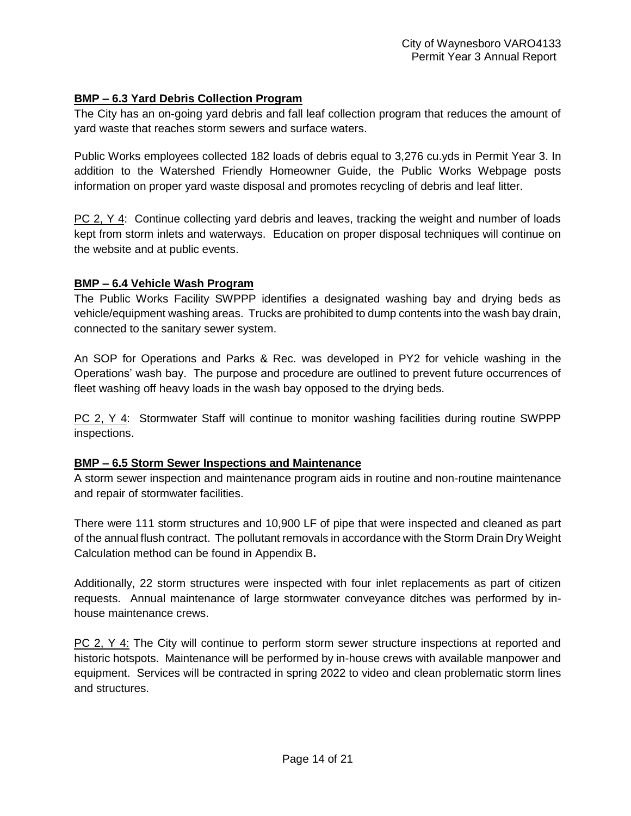### **BMP – 6.3 Yard Debris Collection Program**

The City has an on-going yard debris and fall leaf collection program that reduces the amount of yard waste that reaches storm sewers and surface waters.

Public Works employees collected 182 loads of debris equal to 3,276 cu.yds in Permit Year 3. In addition to the Watershed Friendly Homeowner Guide, the Public Works Webpage posts information on proper yard waste disposal and promotes recycling of debris and leaf litter.

PC 2, Y 4: Continue collecting yard debris and leaves, tracking the weight and number of loads kept from storm inlets and waterways. Education on proper disposal techniques will continue on the website and at public events.

### **BMP – 6.4 Vehicle Wash Program**

The Public Works Facility SWPPP identifies a designated washing bay and drying beds as vehicle/equipment washing areas. Trucks are prohibited to dump contents into the wash bay drain, connected to the sanitary sewer system.

An SOP for Operations and Parks & Rec. was developed in PY2 for vehicle washing in the Operations' wash bay. The purpose and procedure are outlined to prevent future occurrences of fleet washing off heavy loads in the wash bay opposed to the drying beds.

PC 2, Y 4: Stormwater Staff will continue to monitor washing facilities during routine SWPPP inspections.

### **BMP – 6.5 Storm Sewer Inspections and Maintenance**

A storm sewer inspection and maintenance program aids in routine and non-routine maintenance and repair of stormwater facilities.

There were 111 storm structures and 10,900 LF of pipe that were inspected and cleaned as part of the annual flush contract. The pollutant removals in accordance with the Storm Drain Dry Weight Calculation method can be found in Appendix B**.**

Additionally, 22 storm structures were inspected with four inlet replacements as part of citizen requests. Annual maintenance of large stormwater conveyance ditches was performed by inhouse maintenance crews.

PC 2, Y 4: The City will continue to perform storm sewer structure inspections at reported and historic hotspots. Maintenance will be performed by in-house crews with available manpower and equipment. Services will be contracted in spring 2022 to video and clean problematic storm lines and structures.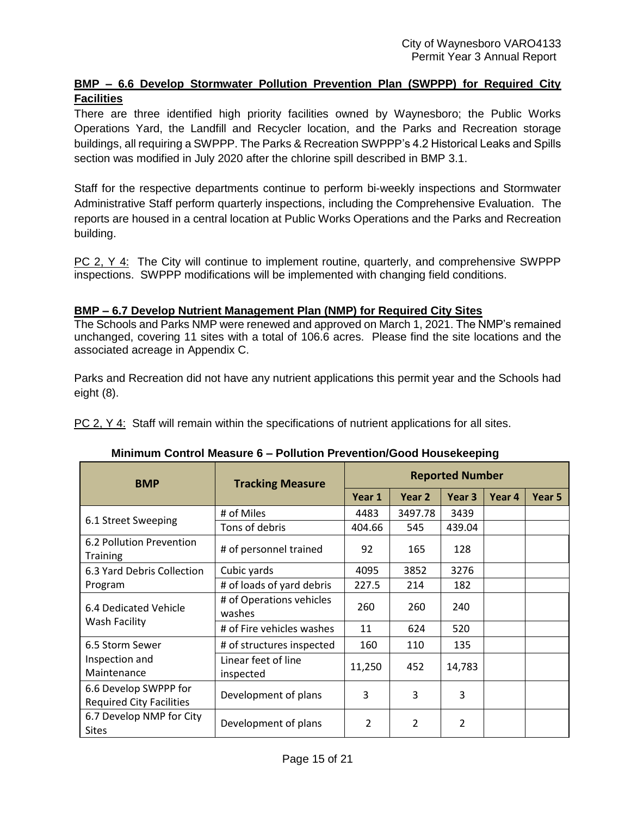# **BMP – 6.6 Develop Stormwater Pollution Prevention Plan (SWPPP) for Required City Facilities**

There are three identified high priority facilities owned by Waynesboro; the Public Works Operations Yard, the Landfill and Recycler location, and the Parks and Recreation storage buildings, all requiring a SWPPP. The Parks & Recreation SWPPP's 4.2 Historical Leaks and Spills section was modified in July 2020 after the chlorine spill described in BMP 3.1.

Staff for the respective departments continue to perform bi-weekly inspections and Stormwater Administrative Staff perform quarterly inspections, including the Comprehensive Evaluation. The reports are housed in a central location at Public Works Operations and the Parks and Recreation building.

PC 2, Y 4: The City will continue to implement routine, quarterly, and comprehensive SWPPP inspections. SWPPP modifications will be implemented with changing field conditions.

### **BMP – 6.7 Develop Nutrient Management Plan (NMP) for Required City Sites**

The Schools and Parks NMP were renewed and approved on March 1, 2021. The NMP's remained unchanged, covering 11 sites with a total of 106.6 acres. Please find the site locations and the associated acreage in Appendix C.

Parks and Recreation did not have any nutrient applications this permit year and the Schools had eight (8).

PC 2, Y 4: Staff will remain within the specifications of nutrient applications for all sites.

| <b>BMP</b>                                               | <b>Tracking Measure</b>            |        | <b>Reported Number</b> |        |        |        |  |
|----------------------------------------------------------|------------------------------------|--------|------------------------|--------|--------|--------|--|
|                                                          |                                    |        | Year 2                 | Year 3 | Year 4 | Year 5 |  |
|                                                          | # of Miles                         | 4483   | 3497.78                | 3439   |        |        |  |
| 6.1 Street Sweeping                                      | Tons of debris                     | 404.66 | 545                    | 439.04 |        |        |  |
| 6.2 Pollution Prevention<br><b>Training</b>              | # of personnel trained             | 92     | 165                    | 128    |        |        |  |
| 6.3 Yard Debris Collection                               | Cubic yards                        | 4095   | 3852                   | 3276   |        |        |  |
| Program                                                  | # of loads of yard debris          | 227.5  | 214                    | 182    |        |        |  |
| 6.4 Dedicated Vehicle                                    | # of Operations vehicles<br>washes | 260    | 260                    | 240    |        |        |  |
| Wash Facility                                            | # of Fire vehicles washes          | 11     | 624                    | 520    |        |        |  |
| 6.5 Storm Sewer                                          | # of structures inspected          | 160    | 110                    | 135    |        |        |  |
| Inspection and<br>Maintenance                            | Linear feet of line<br>inspected   | 11,250 | 452                    | 14,783 |        |        |  |
| 6.6 Develop SWPPP for<br><b>Required City Facilities</b> | Development of plans               | 3      | 3                      | 3      |        |        |  |
| 6.7 Develop NMP for City<br><b>Sites</b>                 | Development of plans               | 2      | 2                      | 2      |        |        |  |

# **Minimum Control Measure 6 – Pollution Prevention/Good Housekeeping**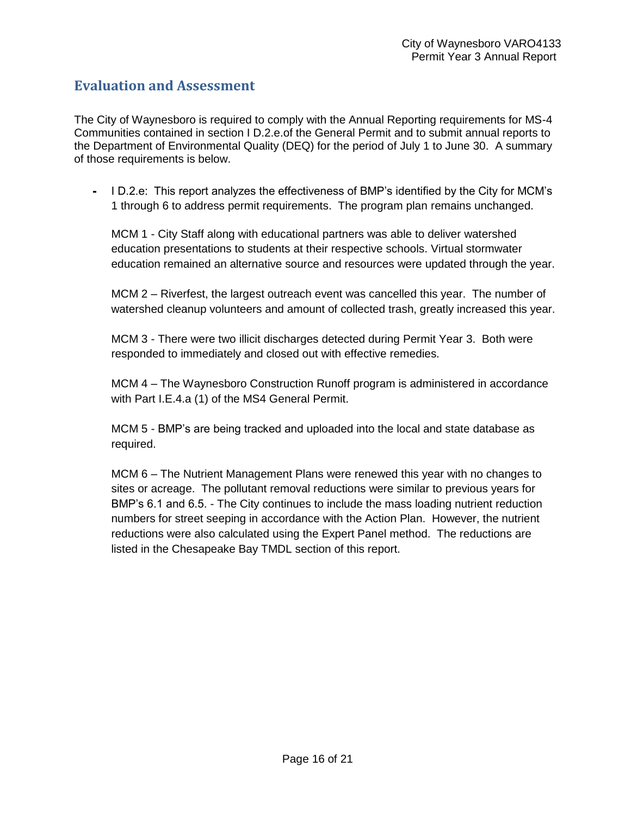# <span id="page-15-0"></span>**Evaluation and Assessment**

The City of Waynesboro is required to comply with the Annual Reporting requirements for MS-4 Communities contained in section I D.2.e.of the General Permit and to submit annual reports to the Department of Environmental Quality (DEQ) for the period of July 1 to June 30. A summary of those requirements is below.

- I D.2.e: This report analyzes the effectiveness of BMP's identified by the City for MCM's 1 through 6 to address permit requirements. The program plan remains unchanged.

MCM 1 - City Staff along with educational partners was able to deliver watershed education presentations to students at their respective schools. Virtual stormwater education remained an alternative source and resources were updated through the year.

MCM 2 – Riverfest, the largest outreach event was cancelled this year. The number of watershed cleanup volunteers and amount of collected trash, greatly increased this year.

MCM 3 - There were two illicit discharges detected during Permit Year 3. Both were responded to immediately and closed out with effective remedies.

MCM 4 – The Waynesboro Construction Runoff program is administered in accordance with Part I.E.4.a (1) of the MS4 General Permit.

MCM 5 - BMP's are being tracked and uploaded into the local and state database as required.

MCM 6 – The Nutrient Management Plans were renewed this year with no changes to sites or acreage. The pollutant removal reductions were similar to previous years for BMP's 6.1 and 6.5. - The City continues to include the mass loading nutrient reduction numbers for street seeping in accordance with the Action Plan. However, the nutrient reductions were also calculated using the Expert Panel method. The reductions are listed in the Chesapeake Bay TMDL section of this report.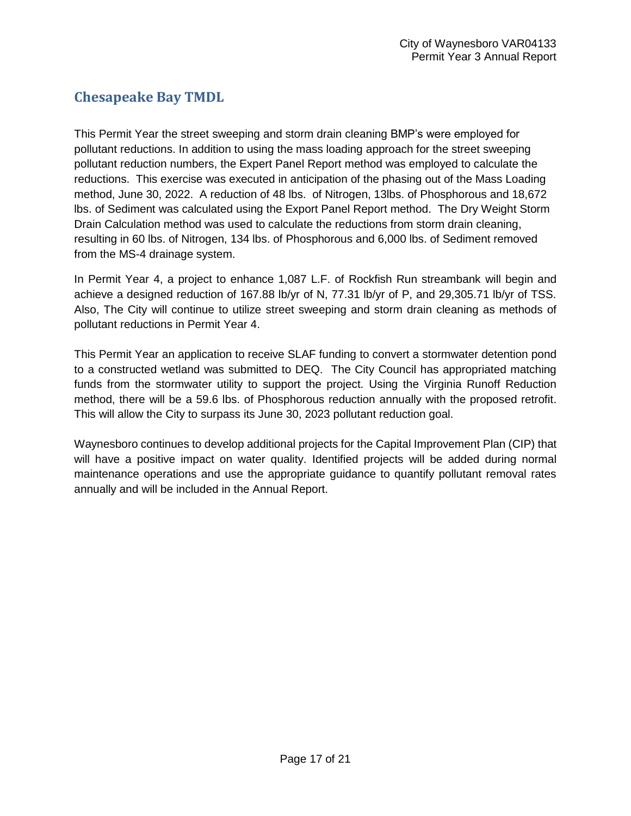# <span id="page-16-0"></span>**Chesapeake Bay TMDL**

This Permit Year the street sweeping and storm drain cleaning BMP's were employed for pollutant reductions. In addition to using the mass loading approach for the street sweeping pollutant reduction numbers, the Expert Panel Report method was employed to calculate the reductions. This exercise was executed in anticipation of the phasing out of the Mass Loading method, June 30, 2022. A reduction of 48 lbs. of Nitrogen, 13lbs. of Phosphorous and 18,672 lbs. of Sediment was calculated using the Export Panel Report method. The Dry Weight Storm Drain Calculation method was used to calculate the reductions from storm drain cleaning, resulting in 60 lbs. of Nitrogen, 134 lbs. of Phosphorous and 6,000 lbs. of Sediment removed from the MS-4 drainage system.

In Permit Year 4, a project to enhance 1,087 L.F. of Rockfish Run streambank will begin and achieve a designed reduction of 167.88 lb/yr of N, 77.31 lb/yr of P, and 29,305.71 lb/yr of TSS. Also, The City will continue to utilize street sweeping and storm drain cleaning as methods of pollutant reductions in Permit Year 4.

This Permit Year an application to receive SLAF funding to convert a stormwater detention pond to a constructed wetland was submitted to DEQ. The City Council has appropriated matching funds from the stormwater utility to support the project. Using the Virginia Runoff Reduction method, there will be a 59.6 lbs. of Phosphorous reduction annually with the proposed retrofit. This will allow the City to surpass its June 30, 2023 pollutant reduction goal.

Waynesboro continues to develop additional projects for the Capital Improvement Plan (CIP) that will have a positive impact on water quality. Identified projects will be added during normal maintenance operations and use the appropriate guidance to quantify pollutant removal rates annually and will be included in the Annual Report.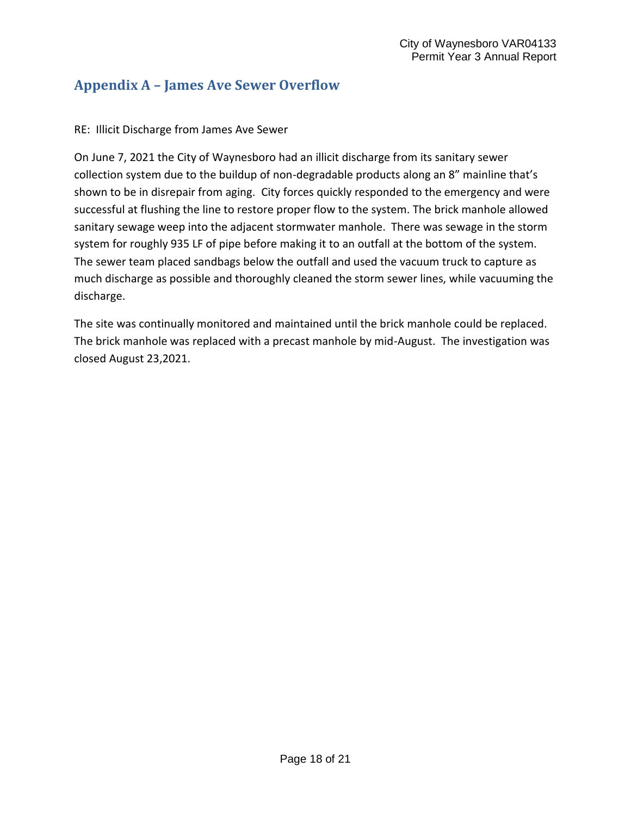# <span id="page-17-0"></span>**Appendix A – James Ave Sewer Overflow**

### RE: Illicit Discharge from James Ave Sewer

On June 7, 2021 the City of Waynesboro had an illicit discharge from its sanitary sewer collection system due to the buildup of non-degradable products along an 8" mainline that's shown to be in disrepair from aging. City forces quickly responded to the emergency and were successful at flushing the line to restore proper flow to the system. The brick manhole allowed sanitary sewage weep into the adjacent stormwater manhole. There was sewage in the storm system for roughly 935 LF of pipe before making it to an outfall at the bottom of the system. The sewer team placed sandbags below the outfall and used the vacuum truck to capture as much discharge as possible and thoroughly cleaned the storm sewer lines, while vacuuming the discharge.

The site was continually monitored and maintained until the brick manhole could be replaced. The brick manhole was replaced with a precast manhole by mid-August. The investigation was closed August 23,2021.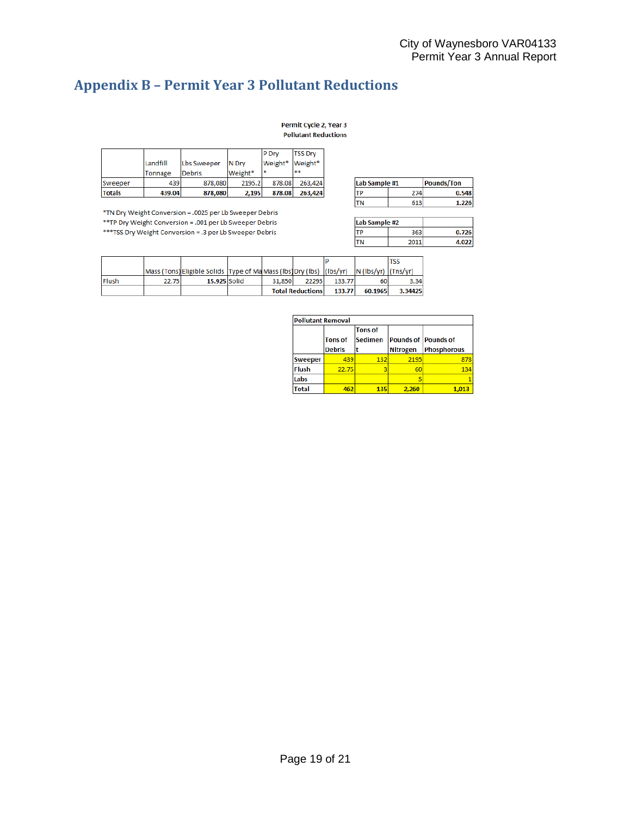# **Appendix B – Permit Year 3 Pollutant Reductions**

Permit Cycle 2, Year 3 **Pollutant Reductions** 

|               |          |               |         | <b>P</b> Drv    | <b>TSS Drv</b> |
|---------------|----------|---------------|---------|-----------------|----------------|
|               | Landfill | Lbs Sweeper   | IN Drv  | Weight* Weight* |                |
|               | Tonnage  | <b>Debris</b> | Weight* | l sk            | de de          |
| Sweeper       | 439      | 878,080       | 2195.2  | 878.08          | 263.424        |
| <b>Totals</b> | 439.04   | 878,080       | 2,195   | 878.08          | 263,424        |

\*TN Dry Weight Conversion = .0025 per Lb Sweeper Debris \*\*TP Dry Weight Conversion = .001 per Lb Sweeper Debris

\*\*\*TSS Dry Weight Conversion = .3 per Lb Sweeper Debris

| Lab Sample #1 |     | <b>Pounds/Ton</b> |
|---------------|-----|-------------------|
|               | 274 | 0.548             |
|               | 613 | 1.226             |

| Lab Sample #2 |      |       |
|---------------|------|-------|
|               | 363  | 0.726 |
|               | 2011 | 4.022 |

|       |       |                                                                                          |        |                         |        |         | TSS     |
|-------|-------|------------------------------------------------------------------------------------------|--------|-------------------------|--------|---------|---------|
|       |       | Mass (Tons) Eligible Solids Type of Ma Mass (Ibs) Dry (Ibs) (Ibs/yr) N (Ibs/yr) (Tns/yr) |        |                         |        |         |         |
| Flush | 22.75 | 15.925 Solid                                                                             | 31.850 | 22295                   | 133.77 | 60      | 3.34    |
|       |       |                                                                                          |        | <b>Total Reductions</b> | 133.77 | 60.1965 | 3.34425 |

| <b>Pollutant Removal</b> |                                 |                                  |                                               |                    |  |  |  |
|--------------------------|---------------------------------|----------------------------------|-----------------------------------------------|--------------------|--|--|--|
|                          | <b>Tons of</b><br><b>Debris</b> | <b>Tons of</b><br><b>Sedimen</b> | <b>Pounds of Pounds of</b><br><b>Nitrogen</b> | <b>Phosphorous</b> |  |  |  |
| <b>Sweeper</b>           | 439                             | 132                              | 2195                                          | 878                |  |  |  |
| <b>Flush</b>             | 22.75                           |                                  | 60                                            | 134                |  |  |  |
| Labs                     |                                 |                                  |                                               |                    |  |  |  |
| <b>Total</b>             | 462                             | 135                              | 2,260                                         |                    |  |  |  |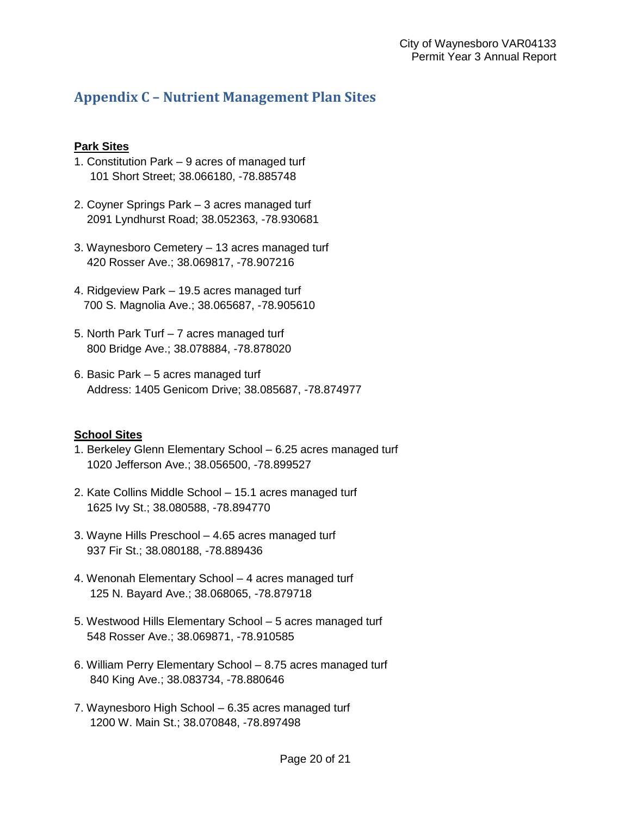# **Appendix C – Nutrient Management Plan Sites**

# **Park Sites**

- 1. Constitution Park 9 acres of managed turf 101 Short Street; 38.066180, -78.885748
- 2. Coyner Springs Park 3 acres managed turf 2091 Lyndhurst Road; 38.052363, -78.930681
- 3. Waynesboro Cemetery 13 acres managed turf 420 Rosser Ave.; 38.069817, -78.907216
- 4. Ridgeview Park 19.5 acres managed turf 700 S. Magnolia Ave.; 38.065687, -78.905610
- 5. North Park Turf 7 acres managed turf 800 Bridge Ave.; 38.078884, -78.878020
- 6. Basic Park 5 acres managed turf Address: 1405 Genicom Drive; 38.085687, -78.874977

# **School Sites**

- 1. Berkeley Glenn Elementary School 6.25 acres managed turf 1020 Jefferson Ave.; 38.056500, -78.899527
- 2. Kate Collins Middle School 15.1 acres managed turf 1625 Ivy St.; 38.080588, -78.894770
- 3. Wayne Hills Preschool 4.65 acres managed turf 937 Fir St.; 38.080188, -78.889436
- 4. Wenonah Elementary School 4 acres managed turf 125 N. Bayard Ave.; 38.068065, -78.879718
- 5. Westwood Hills Elementary School 5 acres managed turf 548 Rosser Ave.; 38.069871, -78.910585
- 6. William Perry Elementary School 8.75 acres managed turf 840 King Ave.; 38.083734, -78.880646
- 7. Waynesboro High School 6.35 acres managed turf 1200 W. Main St.; 38.070848, -78.897498